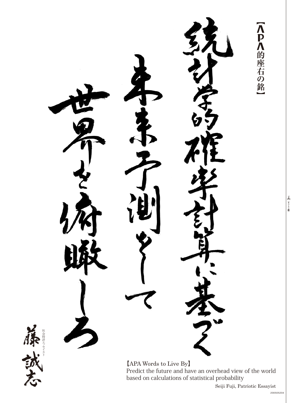<P<的座右の銘 [APA Words to Live By] Predict the future and have an overhead view of the world<br>based on calculations of statistical probability

8 全りトリ線